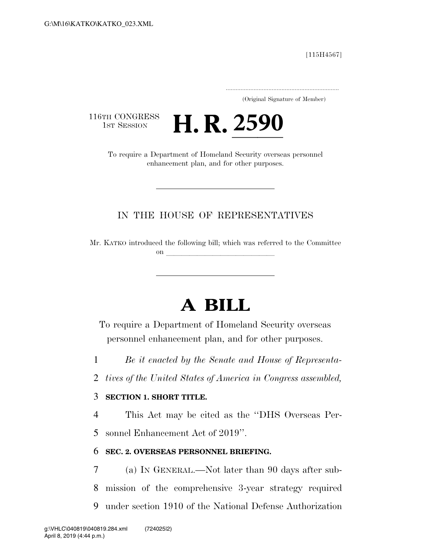[115H4567]

..................................................................... (Original Signature of Member)

116TH CONGRESS<br>1st Session



enhancement plan, and for other purposes.

# IN THE HOUSE OF REPRESENTATIVES

Mr. KATKO introduced the following bill; which was referred to the Committee on  $\overline{\phantom{a}}$ 

# **A BILL**

To require a Department of Homeland Security overseas personnel enhancement plan, and for other purposes.

1 *Be it enacted by the Senate and House of Representa-*

2 *tives of the United States of America in Congress assembled,* 

### 3 **SECTION 1. SHORT TITLE.**

4 This Act may be cited as the ''DHS Overseas Per-

5 sonnel Enhancement Act of 2019''.

## 6 **SEC. 2. OVERSEAS PERSONNEL BRIEFING.**

7 (a) IN GENERAL.—Not later than 90 days after sub-8 mission of the comprehensive 3-year strategy required 9 under section 1910 of the National Defense Authorization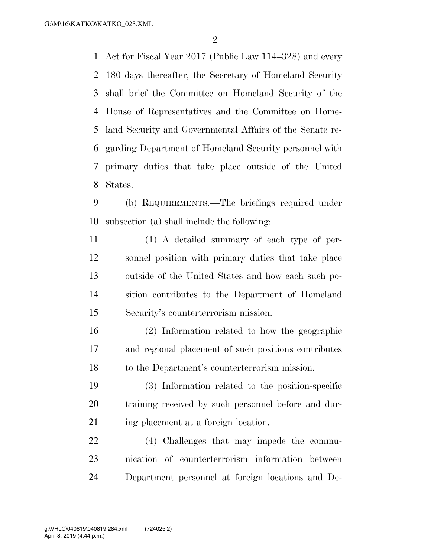Act for Fiscal Year 2017 (Public Law 114–328) and every 180 days thereafter, the Secretary of Homeland Security shall brief the Committee on Homeland Security of the House of Representatives and the Committee on Home- land Security and Governmental Affairs of the Senate re- garding Department of Homeland Security personnel with primary duties that take place outside of the United States.

 (b) REQUIREMENTS.—The briefings required under subsection (a) shall include the following:

 (1) A detailed summary of each type of per- sonnel position with primary duties that take place outside of the United States and how each such po- sition contributes to the Department of Homeland Security's counterterrorism mission.

 (2) Information related to how the geographic and regional placement of such positions contributes to the Department's counterterrorism mission.

 (3) Information related to the position-specific training received by such personnel before and dur-21 ing placement at a foreign location.

 (4) Challenges that may impede the commu- nication of counterterrorism information between Department personnel at foreign locations and De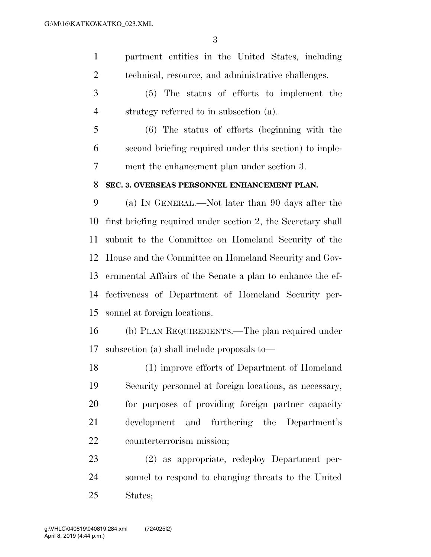partment entities in the United States, including technical, resource, and administrative challenges.

 (5) The status of efforts to implement the strategy referred to in subsection (a).

 (6) The status of efforts (beginning with the second briefing required under this section) to imple-ment the enhancement plan under section 3.

#### **SEC. 3. OVERSEAS PERSONNEL ENHANCEMENT PLAN.**

 (a) IN GENERAL.—Not later than 90 days after the first briefing required under section 2, the Secretary shall submit to the Committee on Homeland Security of the House and the Committee on Homeland Security and Gov- ernmental Affairs of the Senate a plan to enhance the ef- fectiveness of Department of Homeland Security per-sonnel at foreign locations.

 (b) PLAN REQUIREMENTS.—The plan required under subsection (a) shall include proposals to—

 (1) improve efforts of Department of Homeland Security personnel at foreign locations, as necessary, for purposes of providing foreign partner capacity development and furthering the Department's counterterrorism mission;

 (2) as appropriate, redeploy Department per- sonnel to respond to changing threats to the United States;